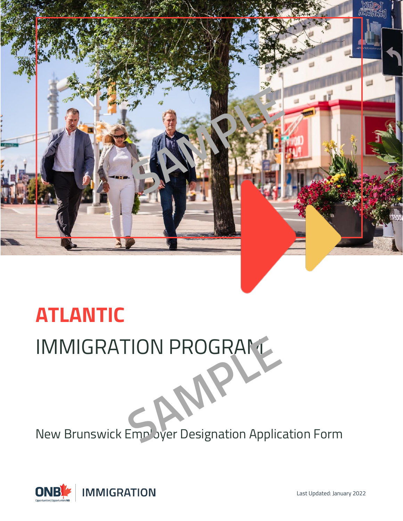

# **ATLANTIC IMMIGRATION PROGRAM**

New Brunswick Employer Designation Application Form



Last Updated: January 2022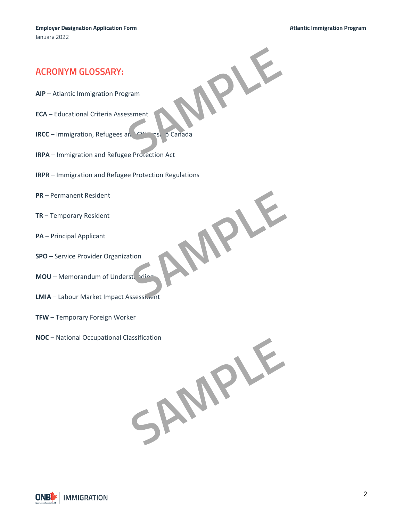**SAMPLE**

**SAMPLE**

### **ACRONYM GLOSSARY:**

- **AIP**  Atlantic Immigration Program
- **ECA** Educational Criteria Assessment
- **IRCC** Immigration, Refugees and Citizenship Canada
- **IRPA** Immigration and Refugee Protection Act
- **IRPR** Immigration and Refugee Protection Regulations
- **PR** Permanent Resident
- **TR** Temporary Resident
- **PA** Principal Applicant
- **SPO** Service Provider Organization
- **MOU** Memorandum of Understanding
- **LMIA** Labour Market Impact Assessment
- **TFW** Temporary Foreign Worker
- **NOC** National Occupational Classification

**SAMPLE**

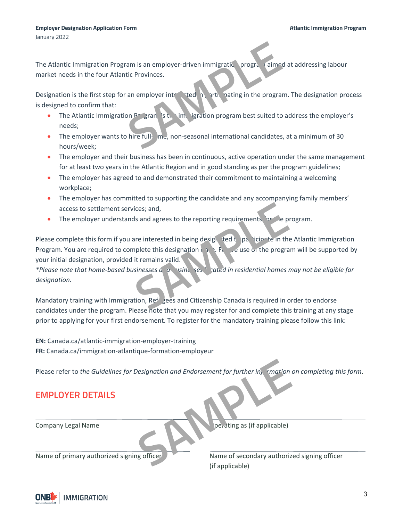The Atlantic Immigration Program is an employer-driven immigratic program aimed at addressing labour market needs in the four Atlantic Provinces.

Designation is the first step for an employer interested in participating in the program. The designation process is designed to confirm that: am is an employer-driven immigratic program<br>tic Provinces.<br>an employer intervalsed by a set of the program best suited to a<br>hire full me, non-seasonal international candidates, a<br>hire full me, non-seasonal international ca

- The Atlantic Immigration Program is the immigration program best suited to address the employer's needs;
- The employer wants to hire full- $m_e$ , non-seasonal international candidates, at a minimum of 30 hours/week;
- The employer and their business has been in continuous, active operation under the same management for at least two years in the Atlantic Region and in good standing as per the program guidelines;
- The employer has agreed to and demonstrated their commitment to maintaining a welcoming workplace;
- The employer has committed to supporting the candidate and any accompanying family members' access to settlement services; and,
- The employer understands and agrees to the reporting requirements for the program.

Please complete this form if you are interested in being designated to participate in the Atlantic Immigration Program. You are required to complete this designation  $\mathfrak{c}_1$ ,  $\mathfrak{c}_2$ ,  $\mathfrak{c}_3$ , e use or the program will be supported by your initial designation, provided it remains valid. Samples to the reporting requirements or the propriate and agrees to the reporting requirements or the program<br>
are interested in being design ted t particle in the *n*<br>
in termains valid.<br>
Sinesses of a vising session can

\*Please note that home-based businesses and *and sexual sated in residential homes may not be eligible for designation.*

Mandatory training with Immigration, Refugees and Citizenship Canada is required in order to endorse candidates under the program. Please note that you may register for and complete this training at any stage prior to applying for your first endorsement. To register for the mandatory training please follow this link:

**EN:** Canada.ca/atlantic-immigration-employer-training **FR:** Canada.ca/immigration-atlantique-formation-employeur

Please refer to the Guidelines for Designation and Endorsement for further information on completing this form.

# **EMPLOYER DETAILS**

Company Legal Name **Operating as (if applicable)** 

Name of primary authorized signing officer Name of secondary authorized signing officer (if applicable) Designation and Endorsement for further in **Endorsement for further in contained**<br>per ating as (if applicable)

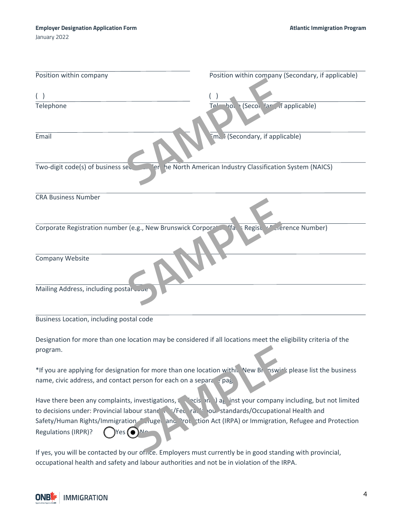| Position within company                                        | Position within company (Secondary, if applicable)       |
|----------------------------------------------------------------|----------------------------------------------------------|
| ( )<br>Telephone                                               | (Secon lare if applicable)<br>Tel-<br>$h_{0}$            |
|                                                                |                                                          |
| Email                                                          | Ema (Secondary, if applicable)                           |
| Two-digit code(s) of business sec<br>ler i                     | he North American Industry Classification System (NAICS) |
| <b>CRA Business Number</b>                                     |                                                          |
| Corporate Registration number (e.g., New Brunswick Corporation | 4a<br>Regist <sup>1</sup> referee Number)                |
| Company Website                                                |                                                          |
| Mailing Address, including postal www.                         |                                                          |

#### Business Location, including postal code

Designation for more than one location may be considered if all locations meet the eligibility criteria of the program.

\*If you are applying for designation for more than one location within New Brunswick please list the business name, civic address, and contact person for each on a separate page.

Have there been any complaints, investigations, secision(s) against your company including, but not limited to decisions under: Provincial labour stand and  $\sim$  Federal labour standards/Occupational Health and Safety/Human Rights/Immigration, Refugee and Protection Act (IRPA) or Immigration, Refugee and Protection Regulations (IRPR)? (Yes ONO Sample The Tanglet of the Tanglet of the Tanglet of the Tanglet of the Tanglet of the Tanglet of the Tanglet of the Tanglet of the Tanglet of the Tanglet of the Tanglet of the Tanglet of the Tanglet of the Tanglet of the T

If yes, you will be contacted by our office. Employers must currently be in good standing with provincial, occupational health and safety and labour authorities and not be in violation of the IRPA.

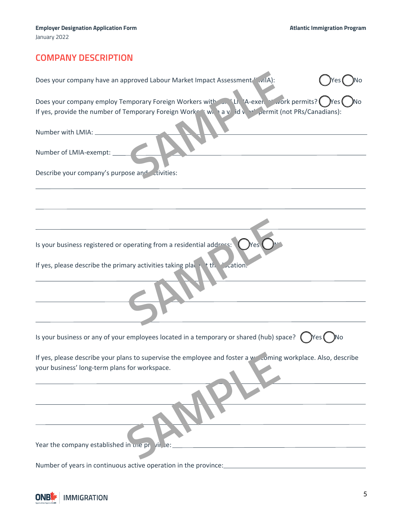# **COMPANY DESCRIPTION**

| Does your company have an approved Labour Market Impact Assessment " .vilA):                                                                                                                   |
|------------------------------------------------------------------------------------------------------------------------------------------------------------------------------------------------|
| Does your company employ Temporary Foreign Workers with an 'Li 'A-exer. York permits? Wes<br>If yes, provide the number of Temporary Foreign Worker Window id with permit (not PRs/Canadians): |
| Number with LMIA: ____                                                                                                                                                                         |
| Number of LMIA-exempt: _                                                                                                                                                                       |
| Describe your company's purpose and civities:                                                                                                                                                  |
|                                                                                                                                                                                                |
|                                                                                                                                                                                                |
| Is your business registered or operating from a residential address: $\bigcirc$ Yes                                                                                                            |
| If yes, please describe the primary activities taking place the V cation.                                                                                                                      |
|                                                                                                                                                                                                |
|                                                                                                                                                                                                |
| Is your business or any of your employees located in a temporary or shared (hub) space? $\Box$ Yes $\Box$ No                                                                                   |
| If yes, please describe your plans to supervise the employee and foster a webcoming workplace. Also, describe<br>your business' long-term plans for workspace.                                 |
|                                                                                                                                                                                                |
|                                                                                                                                                                                                |
|                                                                                                                                                                                                |
| Year the company established in the province:                                                                                                                                                  |
|                                                                                                                                                                                                |
| Number of years in continuous active operation in the province:                                                                                                                                |

**IMMIGRATION ONBL**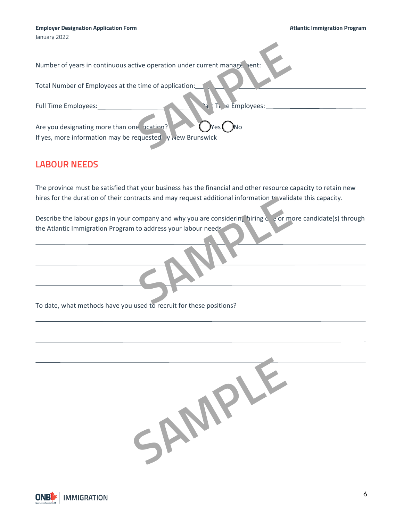Number of years in continuous active operation under current manage hent

Total Number of Employees at the time of application:

Full Time Employees: Part Time Employees:

Are you designating more than one  $\frac{1}{2}$   $\cdots$   $\cdots$   $\cdots$   $\cdots$   $\cdots$ If yes, more information may be requested  $\sqrt{ }$  New Brunswick Experience of application:<br>
Experience of application:<br>
Benefit on the Employees:<br>
Benefit on the Employees:<br>
Sampleyees:<br>
Sampleyees:<br>
Sampleyees:<br>
The Employees:<br>
No<br>
Press ONO

# **LABOUR NEEDS**

The province must be satisfied that your business has the financial and other resource capacity to retain new hires for the duration of their contracts and may request additional information  $t$  validate this capacity.

Describe the labour gaps in your company and why you are considering hiring  $\zeta$  e or more candidate(s) through the Atlantic Immigration Program to address your labour needs Fracts and may request additional information the validat<br>
ompany and why you are considering hiring control of the address your labour needs<br>
and to recruit for these positions?

To date, what methods have you used to recruit for these positions?



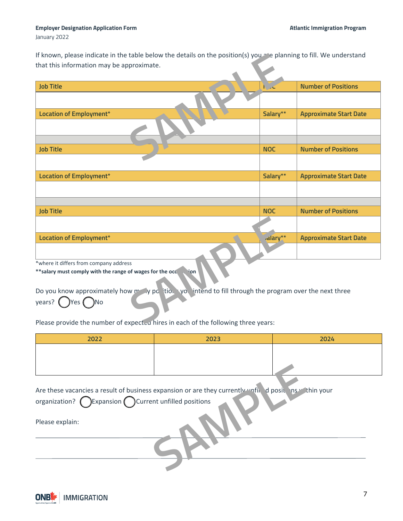#### **Employer Designation Application Form Atlantic Immigration Program**

January 2022

If known, please indicate in the table below the details on the position(s) you are planning to fill. We understand that this information may be approximate.

| If known, please indicate in the table below the details on the position(s) you $\sim$ e planning to fill. We understand |            |                               |
|--------------------------------------------------------------------------------------------------------------------------|------------|-------------------------------|
| that this information may be approximate.                                                                                |            |                               |
|                                                                                                                          |            |                               |
|                                                                                                                          |            |                               |
| <b>Job Title</b>                                                                                                         |            | <b>Number of Positions</b>    |
|                                                                                                                          |            |                               |
| Location of Employment*                                                                                                  | Salary**   | <b>Approximate Start Date</b> |
|                                                                                                                          |            |                               |
| <b>Job Title</b>                                                                                                         | <b>NOC</b> | <b>Number of Positions</b>    |
|                                                                                                                          |            |                               |
|                                                                                                                          |            |                               |
| Location of Employment*                                                                                                  | Salary**   | <b>Approximate Start Date</b> |
|                                                                                                                          |            |                               |
|                                                                                                                          |            |                               |
|                                                                                                                          |            |                               |
| <b>Job Title</b>                                                                                                         | <b>NOC</b> | <b>Number of Positions</b>    |
|                                                                                                                          |            |                               |
| Location of Employment*                                                                                                  | dlary**    | <b>Approximate Start Date</b> |
|                                                                                                                          |            |                               |
| *where it differs from company address                                                                                   |            |                               |
| **salary must comply with the range of wages for the occession                                                           |            |                               |
| Do you know approximately how my y potion you intend to fill through the program over the next three                     |            |                               |
| years? $\left(\begin{array}{c}\n\end{array}\right)$ Yes $\left(\begin{array}{c}\n\end{array}\right)$ No                  |            |                               |
| Please provide the number of expect-a hires in each of the following three years:                                        |            |                               |

Please provide the number of expected hires in each of the following three years:

| 2022                                                                   | 2023                                                                                                 | 2024 |
|------------------------------------------------------------------------|------------------------------------------------------------------------------------------------------|------|
|                                                                        |                                                                                                      |      |
|                                                                        |                                                                                                      |      |
|                                                                        |                                                                                                      |      |
|                                                                        |                                                                                                      |      |
|                                                                        | Are these vacancies a result of business expansion or are they currently unfit d posit his thin your |      |
| organization? $\bigcap$ Expansion $\bigcap$ Current unfilled positions |                                                                                                      |      |
|                                                                        |                                                                                                      |      |
| Please explain:                                                        |                                                                                                      |      |
|                                                                        |                                                                                                      |      |
|                                                                        |                                                                                                      |      |
|                                                                        |                                                                                                      |      |
|                                                                        |                                                                                                      |      |
|                                                                        |                                                                                                      |      |

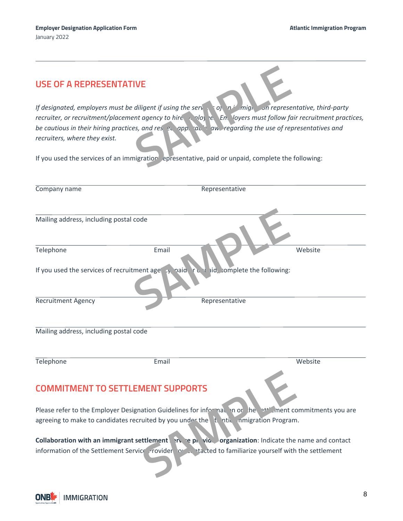| <b>USE OF A REPRESENTATIVE</b><br>If designated, employers must be diligent if using the serve to the might on representative, third-party<br>recruiter, or recruitment/placement agency to hire nodo, e. En. loyers must follow fair recruitment practices,<br>be cautious in their hiring practices, and reserval poperational and regarding the use of representatives and<br>recruiters, where they exist.<br>If you used the services of an immigration epresentative, paid or unpaid, complete the following: |       |                |         |
|---------------------------------------------------------------------------------------------------------------------------------------------------------------------------------------------------------------------------------------------------------------------------------------------------------------------------------------------------------------------------------------------------------------------------------------------------------------------------------------------------------------------|-------|----------------|---------|
| Company name                                                                                                                                                                                                                                                                                                                                                                                                                                                                                                        |       | Representative |         |
|                                                                                                                                                                                                                                                                                                                                                                                                                                                                                                                     |       |                |         |
| Mailing address, including postal code                                                                                                                                                                                                                                                                                                                                                                                                                                                                              |       |                |         |
| Telephone                                                                                                                                                                                                                                                                                                                                                                                                                                                                                                           | Email |                | Website |
| If you used the services of recruitment age $\rightarrow$ , paid $\uparrow$ $\downarrow$ id, somplete the following:                                                                                                                                                                                                                                                                                                                                                                                                |       |                |         |
| <b>Recruitment Agency</b>                                                                                                                                                                                                                                                                                                                                                                                                                                                                                           |       | Representative |         |
| Mailing address, including postal code                                                                                                                                                                                                                                                                                                                                                                                                                                                                              |       |                |         |
| Telephone                                                                                                                                                                                                                                                                                                                                                                                                                                                                                                           | Email |                | Website |
| <b>COMMITMENT TO SETTLEMENT SUPPORTS</b>                                                                                                                                                                                                                                                                                                                                                                                                                                                                            |       |                |         |
| Please refer to the Employer Designation Guidelines for informal in or the effect information commitments you are                                                                                                                                                                                                                                                                                                                                                                                                   |       |                |         |
| agreeing to make to candidates recruited by you under the total in inigration Program.                                                                                                                                                                                                                                                                                                                                                                                                                              |       |                |         |
| Collaboration with an immigrant settlement in the pillon organization: Indicate the name and contact                                                                                                                                                                                                                                                                                                                                                                                                                |       |                |         |
| information of the Settlement Service rovider order tacted to familiarize yourself with the settlement                                                                                                                                                                                                                                                                                                                                                                                                              |       |                |         |

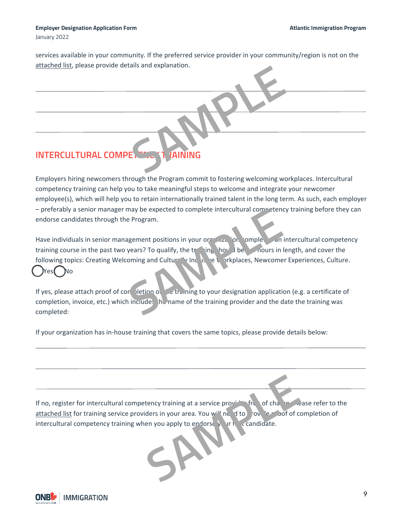January 2022

services available in your community. If the preferred service provider in your community/region is not on the [attached list,](https://www.canada.ca/en/immigration-refugees-citizenship/services/immigrate-canada/atlantic-immigration-pilot/settlement-service-provider-organizations.html) please provide details and explanation.

# **INTERCULTURAL COMPETENCY 1 ?AINING SAMPLE READ POST OF READ PROPERTY.**

Employers hiring newcomers through the Program commit to fostering welcoming workplaces. Intercultural competency training can help you to take meaningful steps to welcome and integrate your newcomer employee(s), which will help you to retain internationally trained talent in the long term. As such, each employer – preferably a senior manager may be expected to complete intercultural competency training before they can endorse candidates through the Program.

Have individuals in senior management positions in your organization, completion intercultural competency training course in the past two years? To qualify, the training should be 3-4 hours in length, and cover the following topics: Creating Welcoming and Culturally Inclusive Workplaces, Newcomer Experiences, Culture. ☐ Yes ☐ No may be expected to complete intercultural complete<br>
e Program.<br> **SAMPLE EXECTS TO qualify, the training hours in leading and Culture in the line of the strengthered in the strengthere is the mountain of the training to you** 

If yes, please attach proof of conpletion of the training to your designation application (e.g. a certificate of completion, invoice, etc.) which includes the name of the training provider and the date the training was completed:

If your organization has in-house training that covers the same topics, please provide details below:

If no, register for intercultural competency training at a service provider free of charge. Please refer to the [attached list](https://www.welcomenb.ca/content/wel-bien/en/LivingSettling/content/SettlementAgencies.html) for training service providers in your area. You will need to provide proof of completion of If no, register for intercultural competency training at a service provident of change intercultural competency training when you apply to endorse your first candidate.

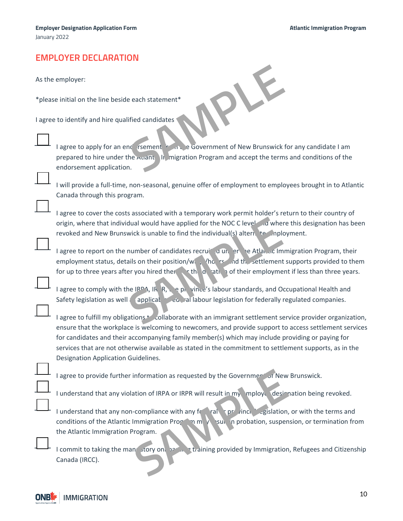# **EMPLOYER DECLARATION**

As the employer:

\*please initial on the line beside each statement\*

I agree to identify and hire qualified candidates

| each statement*                                             |
|-------------------------------------------------------------|
| ified candidates                                            |
| <b>The Sovernment of New Brunswick f</b><br>ic rsement      |
| In migration Program and accept the terms<br>he Auant<br>١. |
|                                                             |

**I agree to apply for an end or sement from the Government of New Brunswick for any candidate I am** prepared to hire under the  $\lambda$ uantic Ingration Program and accept the terms and conditions of the endorsement application.

I will provide a full-time, non-seasonal, genuine offer of employment to employees brought in to Atlantic Canada through this program.

I agree to cover the costs associated with a temporary work permit holder's return to their country of origin, where that individual would have applied for the NOC C level and where this designation has been revoked and New Brunswick is unable to find the individual(s) alternated and New Brunswick is unable to find the individual(s) alternative employment.

I agree to report on the number of candidates recruiting under the Atlantic Immigration Program, their employment status, details on their position/wage/hours, and the settlement supports provided to them for up to three years after you hired them, or the duration of their employment if less than three years. dual would have applied for the NOC C level a where<br>wick is unable to find the individual(s) alternated in the individual<br>formumber of candidates recruiting at the set of their employment<br>all son their position/will be the

I agree to comply with the IRPA, IRP,  $\ell$ , e.p. vince's labour standards, and Occupational Health and Safety legislation as well a poplicable Federal labour legislation for federally regulated companies.

I agree to fulfill my obligations + collaborate with an immigrant settlement service provider organization, ensure that the workplace is welcoming to newcomers, and provide support to access settlement services for candidates and their accompanying family member(s) which may include providing or paying for services that are not otherwise available as stated in the commitment to settlement supports, as in the Designation Application Guidelines.

I agree to provide further information as requested by the Governmer of New Brunswick.

I understand that any violation of IRPA or IRPR will result in my mploye designation being revoked.

I understand that any non-compliance with any federal or provincial legislation, or with the terms and conditions of the Atlantic Immigration Program may result in probation, suspension, or termination from the Atlantic Immigration Program. I agree to provide further information as requested by the Government of New B<br>
I understand that any non-compliance with any formal properties of the Atlantic Immigration Program.<br>
I commit to taking the mant to top and t

I commit to taking the mandatory on boarding training provided by Immigration, Refugees and Citizenship

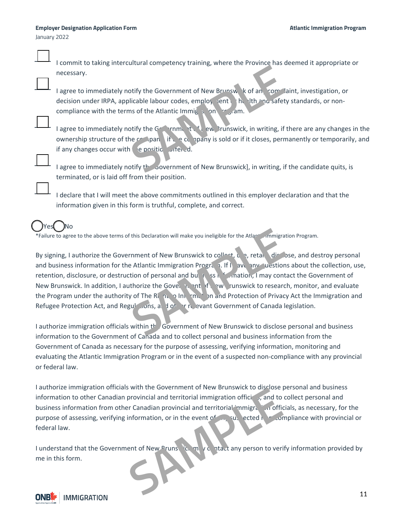January 2022

I commit to taking intercultural competency training, where the Province has deemed it appropriate or necessary.

I agree to immediately notify the Government of New Brunswick of any complaint, investigation, or decision under IRPA, applicable labour codes, employ yent or health and safety standards, or noncompliance with the terms of the Atlantic Immig<sub>1</sub> on Program. of the Government of New Brunsw k of an complicable labour codes, employ tent the labour codes of the Atlantic Immigraphy is on the labour state of the Atlantic Immigraphy is sold or if it closes, permet pan if the company

I agree to immediately notify the Government of New Brunswick, in writing, if there are any changes in the ownership structure of the company if the company is sold or if it closes, permanently or temporarily, and if any changes occur with  $\left($  e position of fered.

I agree to immediately notify the Government of New Brunswick], in writing, if the candidate quits, is terminated, or is laid off from their position.

I declare that I will meet the above commitments outlined in this employer declaration and that the information given in this form is truthful, complete, and correct.

# Yes( )No

\*Failure to agree to the above terms of this Declaration will make you ineligible for the Atlantic Immigration Program.

By signing, I authorize the Government of New Brunswick to collect, use, retain, disclose, and destroy personal and business information for the Atlantic Immigration Program. If  $\parallel$  ave any questions about the collection, use, retention, disclosure, or destruction of personal and business information, I may contact the Government of New Brunswick. In addition, I authorize the Government of New Prunswick to research, monitor, and evaluate the Program under the authority of The Right of Into Information and Protection of Privacy Act the Immigration and Refugee Protection Act, and Regulations, and  $\det$  relevant Government of Canada legislation. This Declaration will make you ineligible for the Atlantic Immigration<br>
SAM THE ATLANTIC IMMIGRATION PROPERTY 1.1 TO THE ATLANTIC UP TO THE ATLANTIC VIOLENCIAL SEAL THAT THE SAME THAT THE SAME THAT THE ATLANTIC VIOLENCIAL

I authorize immigration officials within the Government of New Brunswick to disclose personal and business information to the Government of Canada and to collect personal and business information from the Government of Canada as necessary for the purpose of assessing, verifying information, monitoring and evaluating the Atlantic Immigration Program or in the event of a suspected non-compliance with any provincial or federal law.

I authorize immigration officials with the Government of New Brunswick to disclose personal and business information to other Canadian provincial and territorial immigration officials, and to collect personal and business information from other Canadian provincial and territorial immigration officials, as necessary, for the purpose of assessing, verifying information, or in the event of any subsected non-compliance with provincial or federal law. metric of the Covernment of New Pruns is and the Covernment of New Pruns is and to contain the solution of the Covernment of the exercise of assessing, verifying information, or in the event of the contrader in the second

I understand that the Government of New Bruns it. may contact any person to verify information provided by